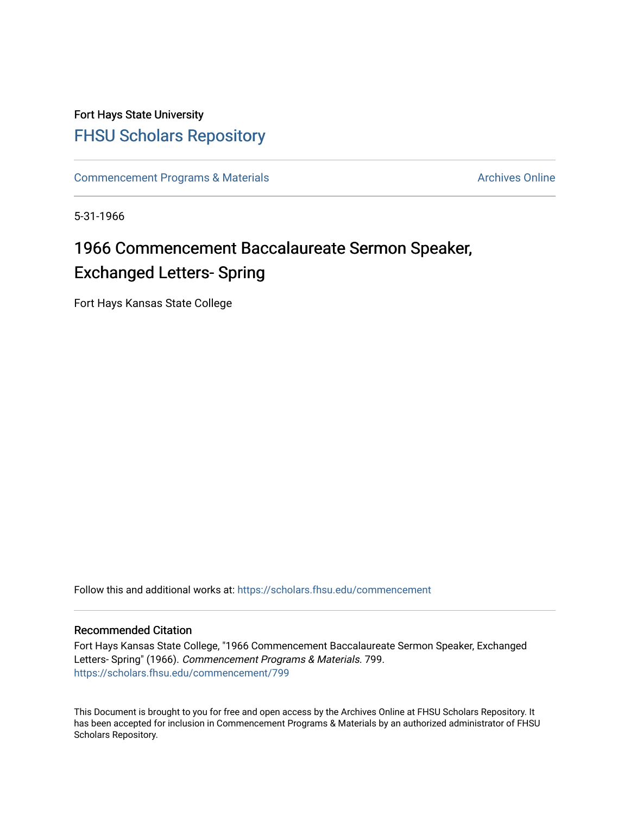### Fort Hays State University [FHSU Scholars Repository](https://scholars.fhsu.edu/)

[Commencement Programs & Materials](https://scholars.fhsu.edu/commencement) Archives Online

5-31-1966

## 1966 Commencement Baccalaureate Sermon Speaker, Exchanged Letters- Spring

Fort Hays Kansas State College

Follow this and additional works at: [https://scholars.fhsu.edu/commencement](https://scholars.fhsu.edu/commencement?utm_source=scholars.fhsu.edu%2Fcommencement%2F799&utm_medium=PDF&utm_campaign=PDFCoverPages)

#### Recommended Citation

Fort Hays Kansas State College, "1966 Commencement Baccalaureate Sermon Speaker, Exchanged Letters- Spring" (1966). Commencement Programs & Materials. 799. [https://scholars.fhsu.edu/commencement/799](https://scholars.fhsu.edu/commencement/799?utm_source=scholars.fhsu.edu%2Fcommencement%2F799&utm_medium=PDF&utm_campaign=PDFCoverPages)

This Document is brought to you for free and open access by the Archives Online at FHSU Scholars Repository. It has been accepted for inclusion in Commencement Programs & Materials by an authorized administrator of FHSU Scholars Repository.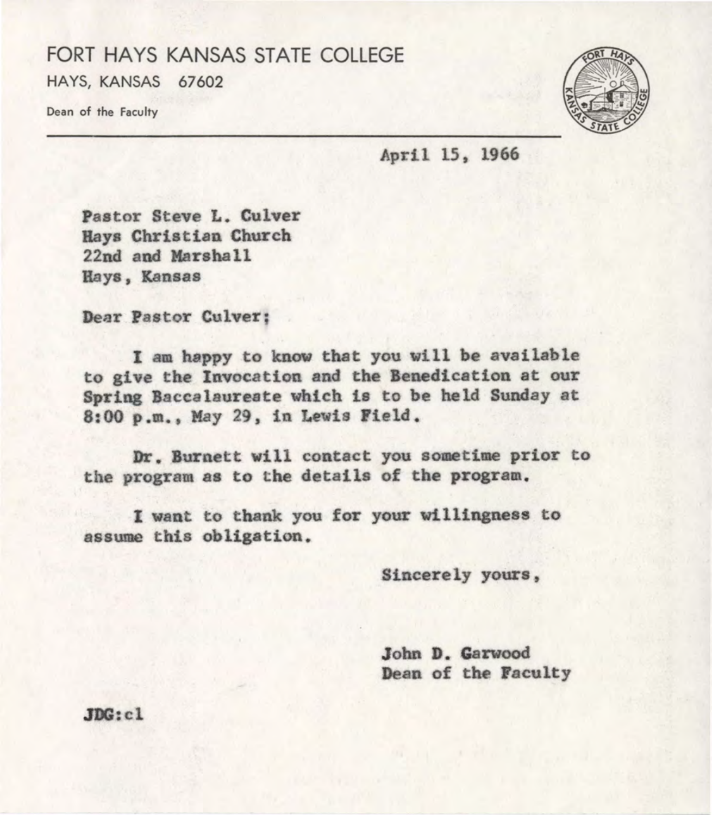### FORT HAYS KANSAS STATE COLLEGE HAYS, KANSAS 67602

Dean of the Faculty



April 15, 1966

Pastor Steve L. Culver Bays Christian Church 22nd and Harsha ll Bays, Kansas

Dear Pastor Culver;

I am happy to know that you will be available to give the Invocation and the Benedication at our Spring Baccalaureate which is to be held Sunday at 8:00 p .m., May 29, in Lewis Field .

Dr. Burnett will contact you sometime prior to the program as to the details of the program.

I want to thank you for your willingness to assume this obligation.

Sincerely yours,

John **D. Garwood**  Dean of the Faculty

JDG:cl